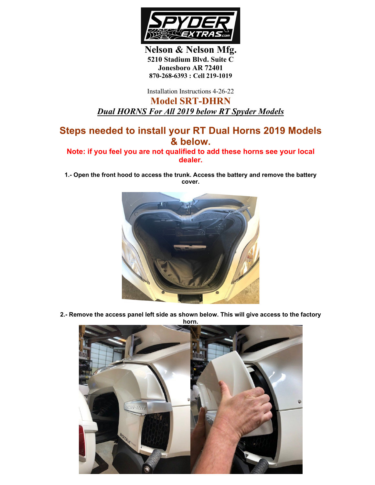

**Nelson & Nelson Mfg. 5210 Stadium Blvd. Suite C Jonesboro AR 72401 870-268-6393 : Cell 219-1019**

Installation Instructions 4-26-22

**Model SRT-DHRN** *Dual HORNS For All 2019 below RT Spyder Models*

## **Steps needed to install your RT Dual Horns 2019 Models & below.**

**Note: if you feel you are not qualified to add these horns see your local dealer.**

**1.- Open the front hood to access the trunk. Access the battery and remove the battery cover.**



**2.- Remove the access panel left side as shown below. This will give access to the factory** 

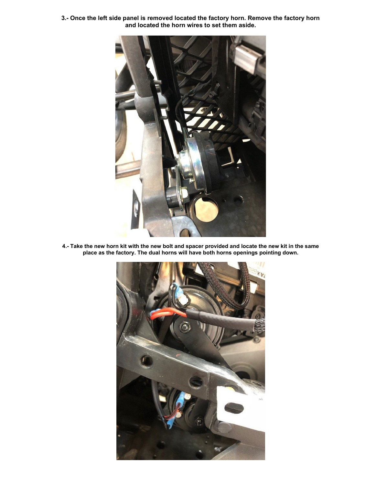**3.- Once the left side panel is removed located the factory horn. Remove the factory horn and located the horn wires to set them aside.** 



**4.- Take the new horn kit with the new bolt and spacer provided and locate the new kit in the same place as the factory. The dual horns will have both horns openings pointing down.**